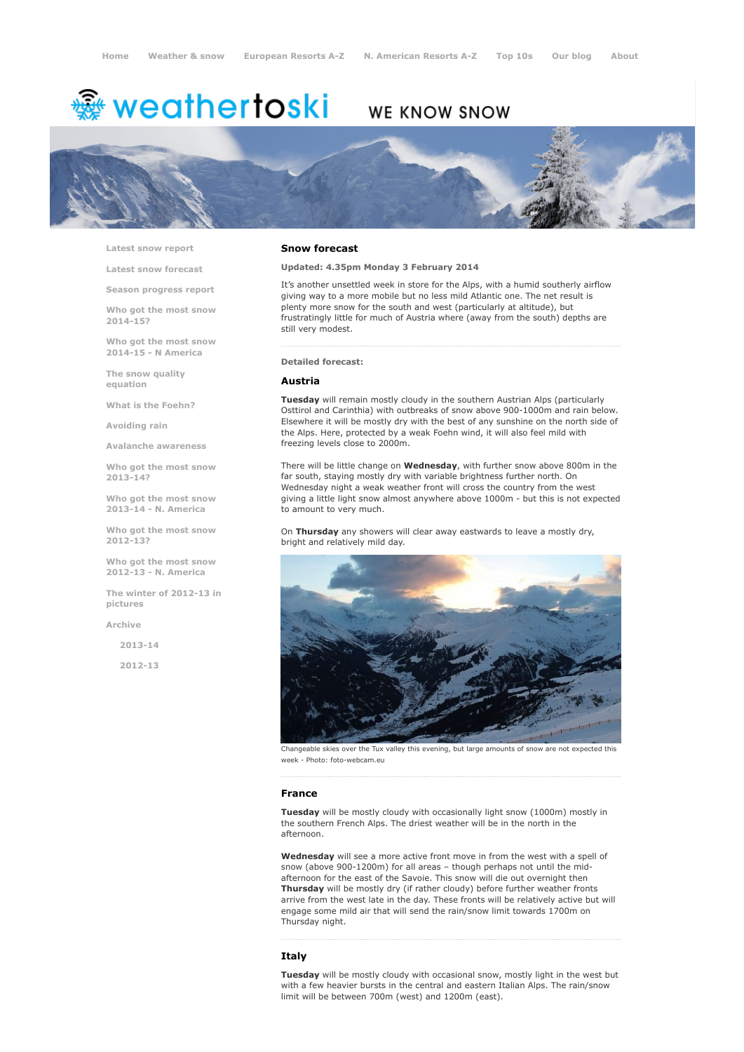# <del>鑾</del> weathertoski

# WE KNOW SNOW



Latest snow [report](http://www.weathertoski.co.uk/weather-snow/latest-snow-report/)

Latest snow [forecast](http://www.weathertoski.co.uk/weather-snow/latest-snow-forecast/)

Season [progress](http://www.weathertoski.co.uk/weather-snow/season-progress-report/) report

Who got the most snow 2014-15?

Who got the most snow 2014-15 - N America

The snow quality [equation](http://www.weathertoski.co.uk/weather-snow/the-snow-quality-equation/)

What is the [Foehn?](http://www.weathertoski.co.uk/weather-snow/what-is-the-foehn/)

[Avoiding](http://www.weathertoski.co.uk/weather-snow/avoiding-rain/) rain

Avalanche [awareness](http://www.weathertoski.co.uk/weather-snow/avalanche-awareness/)

Who got the most snow 2013-14?

Who got the most snow 2013-14 - N. America

Who got the most snow 2012-13?

Who got the most snow 2012-13 - N. America

The winter of 2012-13 in pictures

[Archive](http://www.weathertoski.co.uk/weather-snow/archive/)

2013-14

2012-13

#### Snow forecast

Updated: 4.35pm Monday 3 February 2014

It's another unsettled week in store for the Alps, with a humid southerly airflow giving way to a more mobile but no less mild Atlantic one. The net result is plenty more snow for the south and west (particularly at altitude), but frustratingly little for much of Austria where (away from the south) depths are still very modest.

#### Detailed forecast:

# Austria

Tuesday will remain mostly cloudy in the southern Austrian Alps (particularly Osttirol and Carinthia) with outbreaks of snow above 900-1000m and rain below. Elsewhere it will be mostly dry with the best of any sunshine on the north side of the Alps. Here, protected by a weak Foehn wind, it will also feel mild with freezing levels close to 2000m.

There will be little change on Wednesday, with further snow above 800m in the far south, staying mostly dry with variable brightness further north. On Wednesday night a weak weather front will cross the country from the west giving a little light snow almost anywhere above 1000m - but this is not expected to amount to very much.

On Thursday any showers will clear away eastwards to leave a mostly dry, bright and relatively mild day.



Changeable skies over the Tux valley this evening, but large amounts of snow are not expected this week - Photo: foto-webcam.eu

#### France

Tuesday will be mostly cloudy with occasionally light snow (1000m) mostly in the southern French Alps. The driest weather will be in the north in the afternoon.

Wednesday will see a more active front move in from the west with a spell of snow (above 900-1200m) for all areas - though perhaps not until the midafternoon for the east of the Savoie. This snow will die out overnight then Thursday will be mostly dry (if rather cloudy) before further weather fronts arrive from the west late in the day. These fronts will be relatively active but will engage some mild air that will send the rain/snow limit towards 1700m on Thursday night.

## Italy

Tuesday will be mostly cloudy with occasional snow, mostly light in the west but with a few heavier bursts in the central and eastern Italian Alps. The rain/snow limit will be between 700m (west) and 1200m (east).